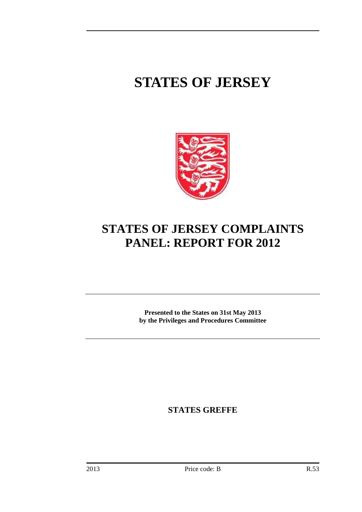# **STATES OF JERSEY**



# **STATES OF JERSEY COMPLAINTS PANEL: REPORT FOR 2012**

**Presented to the States on 31st May 2013 by the Privileges and Procedures Committee** 

**STATES GREFFE**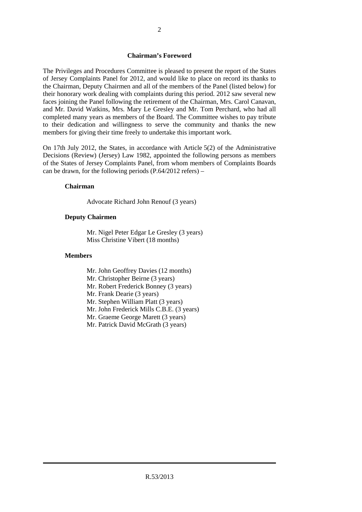#### **Chairman's Foreword**

The Privileges and Procedures Committee is pleased to present the report of the States of Jersey Complaints Panel for 2012, and would like to place on record its thanks to the Chairman, Deputy Chairmen and all of the members of the Panel (listed below) for their honorary work dealing with complaints during this period. 2012 saw several new faces joining the Panel following the retirement of the Chairman, Mrs. Carol Canavan, and Mr. David Watkins, Mrs. Mary Le Gresley and Mr. Tom Perchard, who had all completed many years as members of the Board. The Committee wishes to pay tribute to their dedication and willingness to serve the community and thanks the new members for giving their time freely to undertake this important work.

On 17th July 2012, the States, in accordance with Article 5(2) of the Administrative Decisions (Review) (Jersey) Law 1982, appointed the following persons as members of the States of Jersey Complaints Panel, from whom members of Complaints Boards can be drawn, for the following periods  $(P.64/2012 \text{ refers}) -$ 

#### **Chairman**

Advocate Richard John Renouf (3 years)

#### **Deputy Chairmen**

 Mr. Nigel Peter Edgar Le Gresley (3 years) Miss Christine Vibert (18 months)

#### **Members**

- Mr. John Geoffrey Davies (12 months)
- Mr. Christopher Beirne (3 years)
- Mr. Robert Frederick Bonney (3 years)
- Mr. Frank Dearie (3 years)
- Mr. Stephen William Platt (3 years)
- Mr. John Frederick Mills C.B.E. (3 years)
- Mr. Graeme George Marett (3 years)
- Mr. Patrick David McGrath (3 years)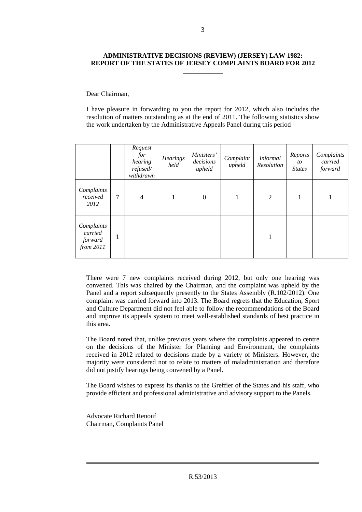# **ADMINISTRATIVE DECISIONS (REVIEW) (JERSEY) LAW 1982: REPORT OF THE STATES OF JERSEY COMPLAINTS BOARD FOR 2012**

**\_\_\_\_\_\_\_\_\_\_\_\_** 

Dear Chairman,

I have pleasure in forwarding to you the report for 2012, which also includes the resolution of matters outstanding as at the end of 2011. The following statistics show the work undertaken by the Administrative Appeals Panel during this period –

|                                                 |   | Request<br>for<br>hearing<br>refused/<br>withdrawn | <b>Hearings</b><br>held | Ministers'<br>decisions<br>upheld | Complaint<br>upheld | <b>Informal</b><br>Resolution | Reports<br>to<br><b>States</b> | Complaints<br>carried<br>forward |
|-------------------------------------------------|---|----------------------------------------------------|-------------------------|-----------------------------------|---------------------|-------------------------------|--------------------------------|----------------------------------|
| Complaints<br>received<br>2012                  | 7 | 4                                                  | 1                       | $\boldsymbol{0}$                  |                     | $\overline{2}$                | 1                              |                                  |
| Complaints<br>carried<br>forward<br>from $2011$ | ı |                                                    |                         |                                   |                     | 1                             |                                |                                  |

There were 7 new complaints received during 2012, but only one hearing was convened. This was chaired by the Chairman, and the complaint was upheld by the Panel and a report subsequently presently to the States Assembly (R.102/2012). One complaint was carried forward into 2013. The Board regrets that the Education, Sport and Culture Department did not feel able to follow the recommendations of the Board and improve its appeals system to meet well-established standards of best practice in this area.

The Board noted that, unlike previous years where the complaints appeared to centre on the decisions of the Minister for Planning and Environment, the complaints received in 2012 related to decisions made by a variety of Ministers. However, the majority were considered not to relate to matters of maladministration and therefore did not justify hearings being convened by a Panel.

The Board wishes to express its thanks to the Greffier of the States and his staff, who provide efficient and professional administrative and advisory support to the Panels.

Advocate Richard Renouf Chairman, Complaints Panel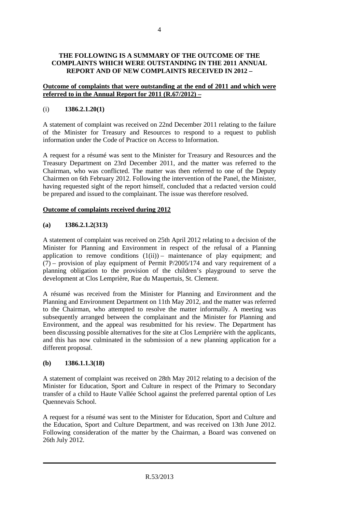# **THE FOLLOWING IS A SUMMARY OF THE OUTCOME OF THE COMPLAINTS WHICH WERE OUTSTANDING IN THE 2011 ANNUAL REPORT AND OF NEW COMPLAINTS RECEIVED IN 2012 –**

## **Outcome of complaints that were outstanding at the end of 2011 and which were referred to in the Annual Report for 2011 (R.67/2012) –**

# (i) **1386.2.1.20(1)**

A statement of complaint was received on 22nd December 2011 relating to the failure of the Minister for Treasury and Resources to respond to a request to publish information under the Code of Practice on Access to Information.

A request for a résumé was sent to the Minister for Treasury and Resources and the Treasury Department on 23rd December 2011, and the matter was referred to the Chairman, who was conflicted. The matter was then referred to one of the Deputy Chairmen on 6th February 2012. Following the intervention of the Panel, the Minister, having requested sight of the report himself, concluded that a redacted version could be prepared and issued to the complainant. The issue was therefore resolved.

## **Outcome of complaints received during 2012**

## **(a) 1386.2.1.2(313)**

A statement of complaint was received on 25th April 2012 relating to a decision of the Minister for Planning and Environment in respect of the refusal of a Planning application to remove conditions  $(1(ii))$  – maintenance of play equipment; and  $(7)$  – provision of play equipment of Permit P/2005/174 and vary requirement of a planning obligation to the provision of the children's playground to serve the development at Clos Lemprière, Rue du Maupertuis, St. Clement.

A résumé was received from the Minister for Planning and Environment and the Planning and Environment Department on 11th May 2012, and the matter was referred to the Chairman, who attempted to resolve the matter informally. A meeting was subsequently arranged between the complainant and the Minister for Planning and Environment, and the appeal was resubmitted for his review. The Department has been discussing possible alternatives for the site at Clos Lemprière with the applicants, and this has now culminated in the submission of a new planning application for a different proposal.

## **(b) 1386.1.1.3(18)**

A statement of complaint was received on 28th May 2012 relating to a decision of the Minister for Education, Sport and Culture in respect of the Primary to Secondary transfer of a child to Haute Vallée School against the preferred parental option of Les Quennevais School.

A request for a résumé was sent to the Minister for Education, Sport and Culture and the Education, Sport and Culture Department, and was received on 13th June 2012. Following consideration of the matter by the Chairman, a Board was convened on 26th July 2012.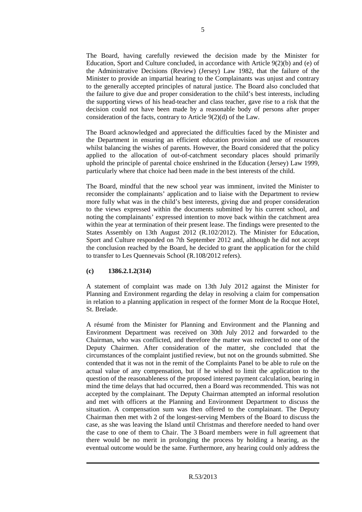The Board, having carefully reviewed the decision made by the Minister for Education, Sport and Culture concluded, in accordance with Article 9(2)(b) and (e) of the Administrative Decisions (Review) (Jersey) Law 1982, that the failure of the Minister to provide an impartial hearing to the Complainants was unjust and contrary to the generally accepted principles of natural justice. The Board also concluded that the failure to give due and proper consideration to the child's best interests, including the supporting views of his head-teacher and class teacher, gave rise to a risk that the decision could not have been made by a reasonable body of persons after proper consideration of the facts, contrary to Article 9(2)(d) of the Law.

The Board acknowledged and appreciated the difficulties faced by the Minister and the Department in ensuring an efficient education provision and use of resources whilst balancing the wishes of parents. However, the Board considered that the policy applied to the allocation of out-of-catchment secondary places should primarily uphold the principle of parental choice enshrined in the Education (Jersey) Law 1999, particularly where that choice had been made in the best interests of the child.

The Board, mindful that the new school year was imminent, invited the Minister to reconsider the complainants' application and to liaise with the Department to review more fully what was in the child's best interests, giving due and proper consideration to the views expressed within the documents submitted by his current school, and noting the complainants' expressed intention to move back within the catchment area within the year at termination of their present lease. The findings were presented to the States Assembly on 13th August 2012 (R.102/2012). The Minister for Education, Sport and Culture responded on 7th September 2012 and, although he did not accept the conclusion reached by the Board, he decided to grant the application for the child to transfer to Les Quennevais School (R.108/2012 refers).

## **(c) 1386.2.1.2(314)**

A statement of complaint was made on 13th July 2012 against the Minister for Planning and Environment regarding the delay in resolving a claim for compensation in relation to a planning application in respect of the former Mont de la Rocque Hotel, St. Brelade.

A résumé from the Minister for Planning and Environment and the Planning and Environment Department was received on 30th July 2012 and forwarded to the Chairman, who was conflicted, and therefore the matter was redirected to one of the Deputy Chairmen. After consideration of the matter, she concluded that the circumstances of the complaint justified review, but not on the grounds submitted. She contended that it was not in the remit of the Complaints Panel to be able to rule on the actual value of any compensation, but if he wished to limit the application to the question of the reasonableness of the proposed interest payment calculation, bearing in mind the time delays that had occurred, then a Board was recommended. This was not accepted by the complainant. The Deputy Chairman attempted an informal resolution and met with officers at the Planning and Environment Department to discuss the situation. A compensation sum was then offered to the complainant. The Deputy Chairman then met with 2 of the longest-serving Members of the Board to discuss the case, as she was leaving the Island until Christmas and therefore needed to hand over the case to one of them to Chair. The 3 Board members were in full agreement that there would be no merit in prolonging the process by holding a hearing, as the eventual outcome would be the same. Furthermore, any hearing could only address the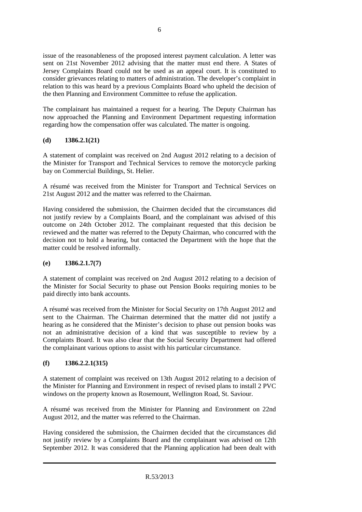issue of the reasonableness of the proposed interest payment calculation. A letter was sent on 21st November 2012 advising that the matter must end there. A States of Jersey Complaints Board could not be used as an appeal court. It is constituted to consider grievances relating to matters of administration. The developer's complaint in relation to this was heard by a previous Complaints Board who upheld the decision of the then Planning and Environment Committee to refuse the application.

The complainant has maintained a request for a hearing. The Deputy Chairman has now approached the Planning and Environment Department requesting information regarding how the compensation offer was calculated. The matter is ongoing.

# **(d) 1386.2.1(21)**

A statement of complaint was received on 2nd August 2012 relating to a decision of the Minister for Transport and Technical Services to remove the motorcycle parking bay on Commercial Buildings, St. Helier.

A résumé was received from the Minister for Transport and Technical Services on 21st August 2012 and the matter was referred to the Chairman.

Having considered the submission, the Chairmen decided that the circumstances did not justify review by a Complaints Board, and the complainant was advised of this outcome on 24th October 2012. The complainant requested that this decision be reviewed and the matter was referred to the Deputy Chairman, who concurred with the decision not to hold a hearing, but contacted the Department with the hope that the matter could be resolved informally.

# **(e) 1386.2.1.7(7)**

A statement of complaint was received on 2nd August 2012 relating to a decision of the Minister for Social Security to phase out Pension Books requiring monies to be paid directly into bank accounts.

A résumé was received from the Minister for Social Security on 17th August 2012 and sent to the Chairman. The Chairman determined that the matter did not justify a hearing as he considered that the Minister's decision to phase out pension books was not an administrative decision of a kind that was susceptible to review by a Complaints Board. It was also clear that the Social Security Department had offered the complainant various options to assist with his particular circumstance.

# **(f) 1386.2.2.1(315)**

A statement of complaint was received on 13th August 2012 relating to a decision of the Minister for Planning and Environment in respect of revised plans to install 2 PVC windows on the property known as Rosemount, Wellington Road, St. Saviour.

A résumé was received from the Minister for Planning and Environment on 22nd August 2012, and the matter was referred to the Chairman.

Having considered the submission, the Chairmen decided that the circumstances did not justify review by a Complaints Board and the complainant was advised on 12th September 2012. It was considered that the Planning application had been dealt with